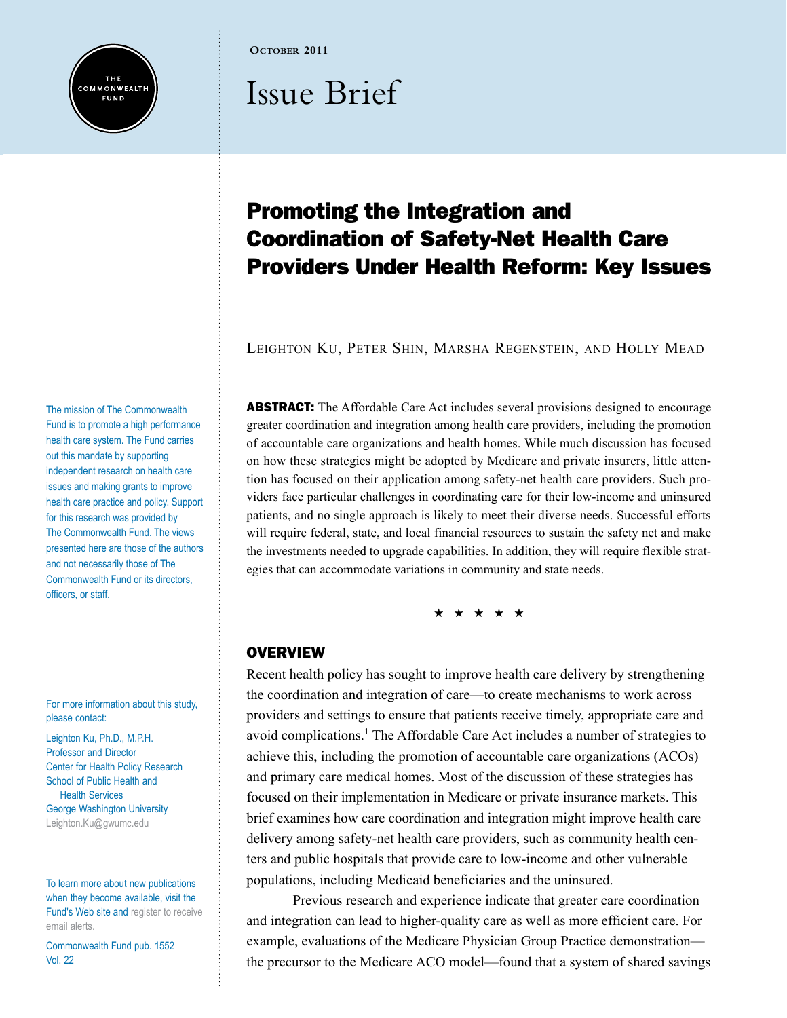

**October 2011**

# Issue Brief

# Promoting the Integration and Coordination of Safety-Net Health Care Providers Under Health Reform: Key Issues

Leighton Ku, Peter Shin, Marsha Regenstein, and Holly Mead

**ABSTRACT:** The Affordable Care Act includes several provisions designed to encourage greater coordination and integration among health care providers, including the promotion of accountable care organizations and health homes. While much discussion has focused on how these strategies might be adopted by Medicare and private insurers, little attention has focused on their application among safety-net health care providers. Such providers face particular challenges in coordinating care for their low-income and uninsured patients, and no single approach is likely to meet their diverse needs. Successful efforts will require federal, state, and local financial resources to sustain the safety net and make the investments needed to upgrade capabilities. In addition, they will require flexible strategies that can accommodate variations in community and state needs.

\* \* \* \* \*

#### **OVERVIEW**

Recent health policy has sought to improve health care delivery by strengthening the coordination and integration of care—to create mechanisms to work across providers and settings to ensure that patients receive timely, appropriate care and avoid complications.<sup>1</sup> The Affordable Care Act includes a number of strategies to achieve this, including the promotion of accountable care organizations (ACOs) and primary care medical homes. Most of the discussion of these strategies has focused on their implementation in Medicare or private insurance markets. This brief examines how care coordination and integration might improve health care delivery among safety-net health care providers, such as community health centers and public hospitals that provide care to low-income and other vulnerable populations, including Medicaid beneficiaries and the uninsured.

Previous research and experience indicate that greater care coordination and integration can lead to higher-quality care as well as more efficient care. For example, evaluations of the Medicare Physician Group Practice demonstration the precursor to the Medicare ACO model—found that a system of shared savings

The mission of The Commonwealth Fund is to promote a high performance health care system. The Fund carries out this mandate by supporting independent research on health care issues and making grants to improve health care practice and policy. Support for this research was provided by The Commonwealth Fund. The views presented here are those of the authors and not necessarily those of The Commonwealth Fund or its directors, officers, or staff.

For more information about this study, please contact:

Leighton Ku, Ph.D., M.P.H. Professor and Director Center for Health Policy Research School of Public Health and Health Services George Washington University [Leighton.Ku@gwumc.edu](mailto:Leighton.Ku%40gwumc.edu?subject=)

To learn more about new publications when they become available, visit the Fund's Web site and [register to receive](http://www.commonwealthfund.org/myprofile/myprofile_edit.htm)  [email alerts.](http://www.commonwealthfund.org/myprofile/myprofile_edit.htm)

Commonwealth Fund pub. 1552 Vol. 22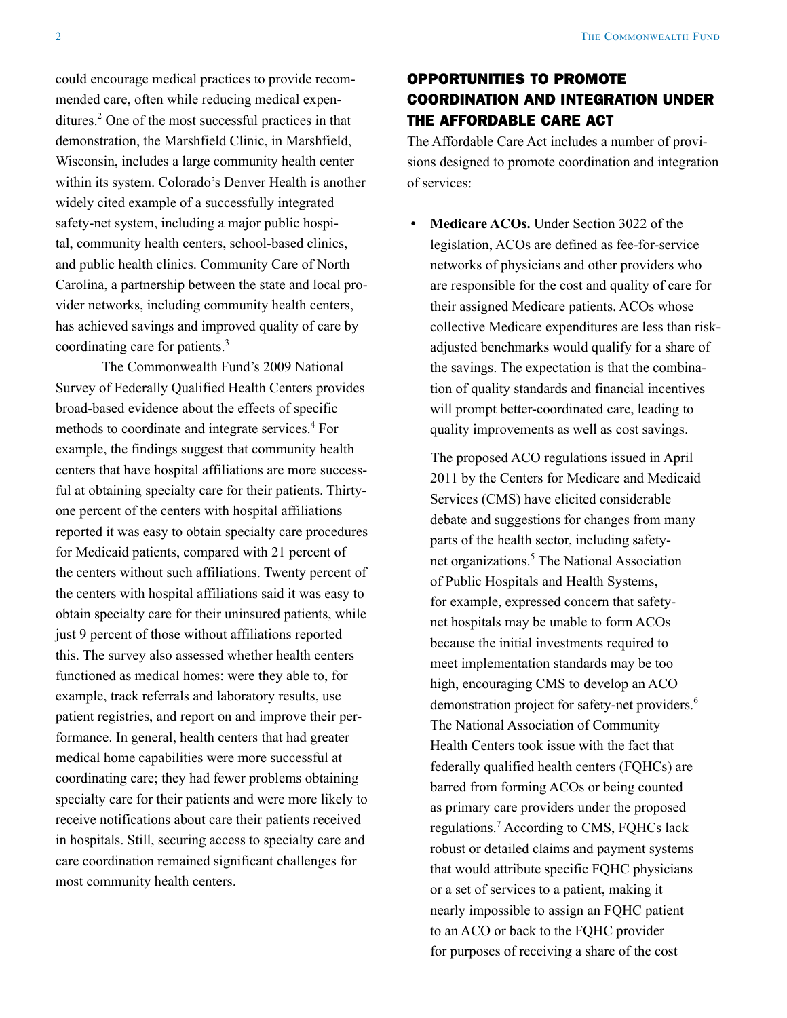could encourage medical practices to provide recommended care, often while reducing medical expenditures.2 One of the most successful practices in that demonstration, the Marshfield Clinic, in Marshfield, Wisconsin, includes a large community health center within its system. Colorado's Denver Health is another widely cited example of a successfully integrated safety-net system, including a major public hospital, community health centers, school-based clinics, and public health clinics. Community Care of North Carolina, a partnership between the state and local provider networks, including community health centers, has achieved savings and improved quality of care by coordinating care for patients.<sup>3</sup>

The Commonwealth Fund's 2009 National Survey of Federally Qualified Health Centers provides broad-based evidence about the effects of specific methods to coordinate and integrate services.<sup>4</sup> For example, the findings suggest that community health centers that have hospital affiliations are more successful at obtaining specialty care for their patients. Thirtyone percent of the centers with hospital affiliations reported it was easy to obtain specialty care procedures for Medicaid patients, compared with 21 percent of the centers without such affiliations. Twenty percent of the centers with hospital affiliations said it was easy to obtain specialty care for their uninsured patients, while just 9 percent of those without affiliations reported this. The survey also assessed whether health centers functioned as medical homes: were they able to, for example, track referrals and laboratory results, use patient registries, and report on and improve their performance. In general, health centers that had greater medical home capabilities were more successful at coordinating care; they had fewer problems obtaining specialty care for their patients and were more likely to receive notifications about care their patients received in hospitals. Still, securing access to specialty care and care coordination remained significant challenges for most community health centers.

# OPPORTUNITIES TO PROMOTE COORDINATION AND INTEGRATION UNDER THE AFFORDABLE CARE ACT

The Affordable Care Act includes a number of provisions designed to promote coordination and integration of services:

**• Medicare ACOs.** Under Section 3022 of the legislation, ACOs are defined as fee-for-service networks of physicians and other providers who are responsible for the cost and quality of care for their assigned Medicare patients. ACOs whose collective Medicare expenditures are less than riskadjusted benchmarks would qualify for a share of the savings. The expectation is that the combination of quality standards and financial incentives will prompt better-coordinated care, leading to quality improvements as well as cost savings.

The proposed ACO regulations issued in April 2011 by the Centers for Medicare and Medicaid Services (CMS) have elicited considerable debate and suggestions for changes from many parts of the health sector, including safetynet organizations.<sup>5</sup> The National Association of Public Hospitals and Health Systems, for example, expressed concern that safetynet hospitals may be unable to form ACOs because the initial investments required to meet implementation standards may be too high, encouraging CMS to develop an ACO demonstration project for safety-net providers.<sup>6</sup> The National Association of Community Health Centers took issue with the fact that federally qualified health centers (FQHCs) are barred from forming ACOs or being counted as primary care providers under the proposed regulations.7 According to CMS, FQHCs lack robust or detailed claims and payment systems that would attribute specific FQHC physicians or a set of services to a patient, making it nearly impossible to assign an FQHC patient to an ACO or back to the FQHC provider for purposes of receiving a share of the cost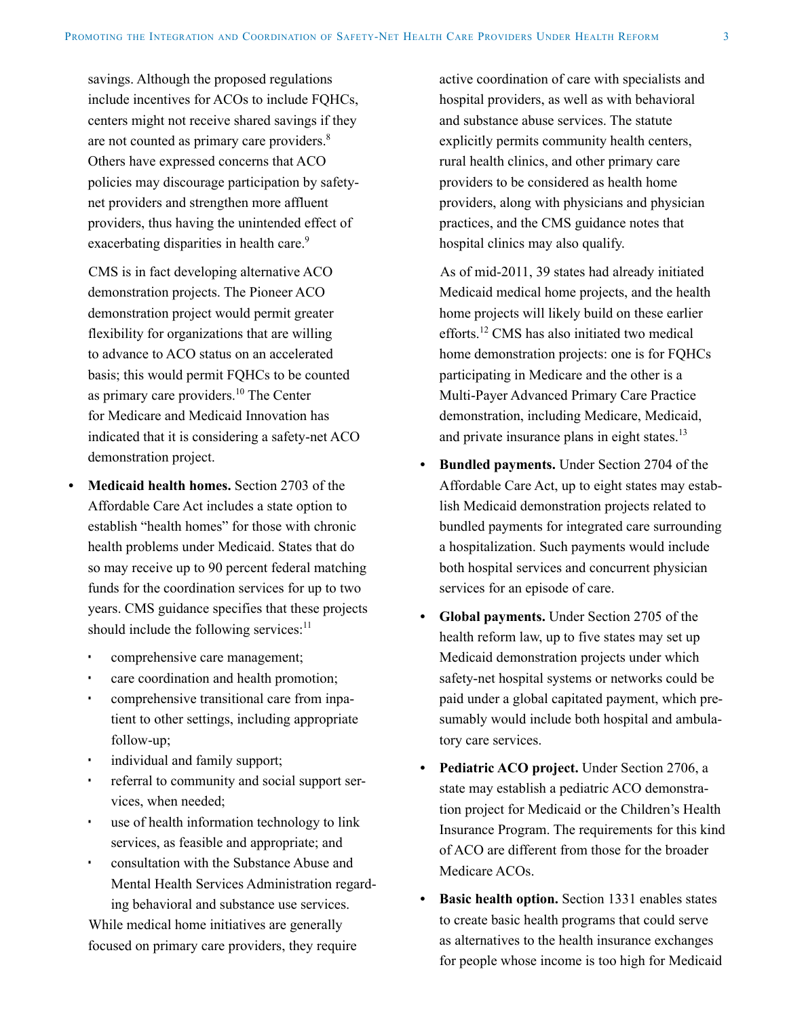savings. Although the proposed regulations include incentives for ACOs to include FQHCs, centers might not receive shared savings if they are not counted as primary care providers.<sup>8</sup> Others have expressed concerns that ACO policies may discourage participation by safetynet providers and strengthen more affluent providers, thus having the unintended effect of exacerbating disparities in health care.<sup>9</sup>

CMS is in fact developing alternative ACO demonstration projects. The Pioneer ACO demonstration project would permit greater flexibility for organizations that are willing to advance to ACO status on an accelerated basis; this would permit FQHCs to be counted as primary care providers.10 The Center for Medicare and Medicaid Innovation has indicated that it is considering a safety-net ACO demonstration project.

- **• Medicaid health homes.** Section 2703 of the Affordable Care Act includes a state option to establish "health homes" for those with chronic health problems under Medicaid. States that do so may receive up to 90 percent federal matching funds for the coordination services for up to two years. CMS guidance specifies that these projects should include the following services:<sup>11</sup>
	- comprehensive care management;
	- care coordination and health promotion;
	- comprehensive transitional care from inpatient to other settings, including appropriate follow-up;
	- individual and family support;
	- referral to community and social support services, when needed;
	- use of health information technology to link services, as feasible and appropriate; and
	- consultation with the Substance Abuse and Mental Health Services Administration regarding behavioral and substance use services.

While medical home initiatives are generally focused on primary care providers, they require active coordination of care with specialists and hospital providers, as well as with behavioral and substance abuse services. The statute explicitly permits community health centers, rural health clinics, and other primary care providers to be considered as health home providers, along with physicians and physician practices, and the CMS guidance notes that hospital clinics may also qualify.

As of mid-2011, 39 states had already initiated Medicaid medical home projects, and the health home projects will likely build on these earlier efforts.12 CMS has also initiated two medical home demonstration projects: one is for FQHCs participating in Medicare and the other is a Multi-Payer Advanced Primary Care Practice demonstration, including Medicare, Medicaid, and private insurance plans in eight states.<sup>13</sup>

- **Bundled payments.** Under Section 2704 of the Affordable Care Act, up to eight states may establish Medicaid demonstration projects related to bundled payments for integrated care surrounding a hospitalization. Such payments would include both hospital services and concurrent physician services for an episode of care.
- **Global payments.** Under Section 2705 of the health reform law, up to five states may set up Medicaid demonstration projects under which safety-net hospital systems or networks could be paid under a global capitated payment, which presumably would include both hospital and ambulatory care services.
- **Pediatric ACO** project. Under Section 2706, a state may establish a pediatric ACO demonstration project for Medicaid or the Children's Health Insurance Program. The requirements for this kind of ACO are different from those for the broader Medicare ACOs.
- **Basic health option.** Section 1331 enables states to create basic health programs that could serve as alternatives to the health insurance exchanges for people whose income is too high for Medicaid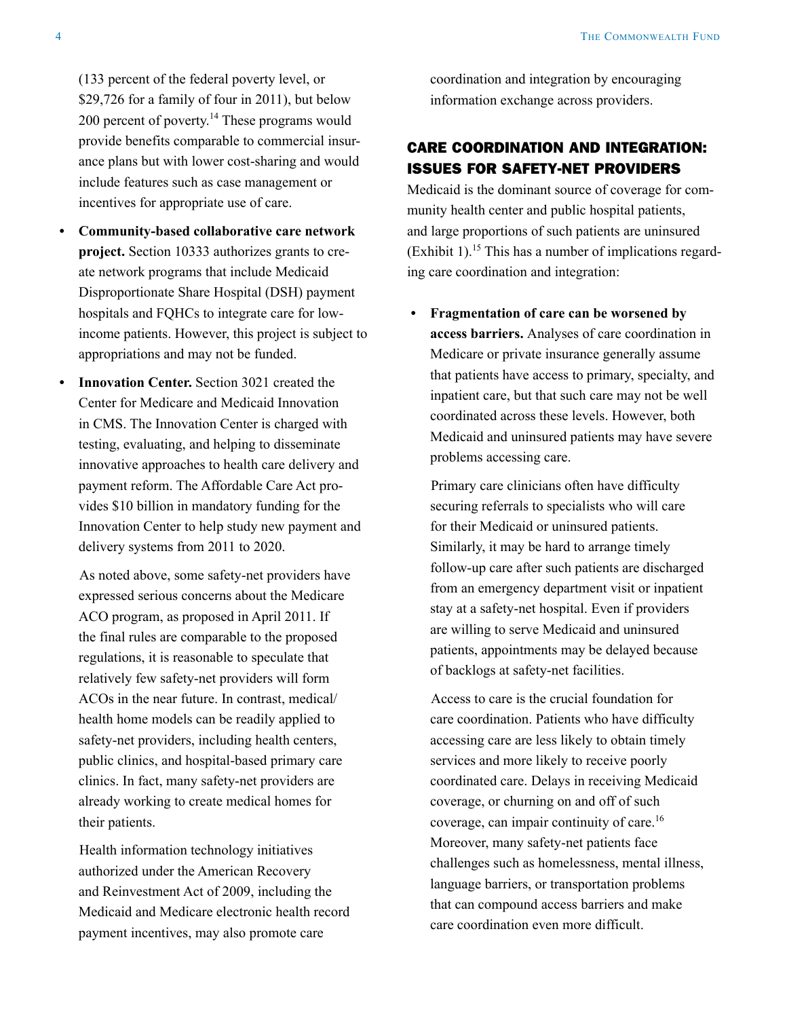(133 percent of the federal poverty level, or \$29,726 for a family of four in 2011), but below 200 percent of poverty.14 These programs would provide benefits comparable to commercial insurance plans but with lower cost-sharing and would include features such as case management or incentives for appropriate use of care.

- **• Community-based collaborative care network project.** Section 10333 authorizes grants to create network programs that include Medicaid Disproportionate Share Hospital (DSH) payment hospitals and FQHCs to integrate care for lowincome patients. However, this project is subject to appropriations and may not be funded.
- **Innovation Center.** Section 3021 created the Center for Medicare and Medicaid Innovation in CMS. The Innovation Center is charged with testing, evaluating, and helping to disseminate innovative approaches to health care delivery and payment reform. The Affordable Care Act provides \$10 billion in mandatory funding for the Innovation Center to help study new payment and delivery systems from 2011 to 2020.

As noted above, some safety-net providers have expressed serious concerns about the Medicare ACO program, as proposed in April 2011. If the final rules are comparable to the proposed regulations, it is reasonable to speculate that relatively few safety-net providers will form ACOs in the near future. In contrast, medical/ health home models can be readily applied to safety-net providers, including health centers, public clinics, and hospital-based primary care clinics. In fact, many safety-net providers are already working to create medical homes for their patients.

Health information technology initiatives authorized under the American Recovery and Reinvestment Act of 2009, including the Medicaid and Medicare electronic health record payment incentives, may also promote care

coordination and integration by encouraging information exchange across providers.

# CARE COORDINATION AND INTEGRATION: ISSUES FOR SAFETY-NET PROVIDERS

Medicaid is the dominant source of coverage for community health center and public hospital patients, and large proportions of such patients are uninsured  $(Exhibit 1).$ <sup>15</sup> This has a number of implications regarding care coordination and integration:

**• Fragmentation of care can be worsened by access barriers.** Analyses of care coordination in Medicare or private insurance generally assume that patients have access to primary, specialty, and inpatient care, but that such care may not be well coordinated across these levels. However, both Medicaid and uninsured patients may have severe problems accessing care.

Primary care clinicians often have difficulty securing referrals to specialists who will care for their Medicaid or uninsured patients. Similarly, it may be hard to arrange timely follow-up care after such patients are discharged from an emergency department visit or inpatient stay at a safety-net hospital. Even if providers are willing to serve Medicaid and uninsured patients, appointments may be delayed because of backlogs at safety-net facilities.

Access to care is the crucial foundation for care coordination. Patients who have difficulty accessing care are less likely to obtain timely services and more likely to receive poorly coordinated care. Delays in receiving Medicaid coverage, or churning on and off of such coverage, can impair continuity of care.16 Moreover, many safety-net patients face challenges such as homelessness, mental illness, language barriers, or transportation problems that can compound access barriers and make care coordination even more difficult.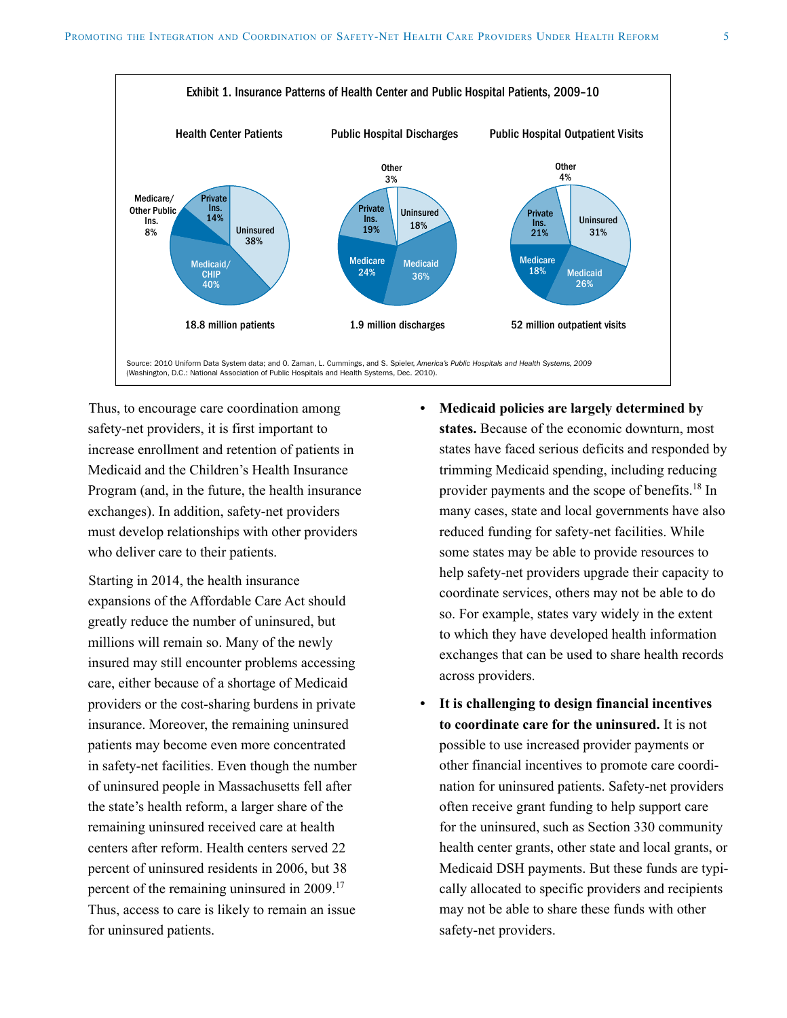

Thus, to encourage care coordination among safety-net providers, it is first important to increase enrollment and retention of patients in Medicaid and the Children's Health Insurance Program (and, in the future, the health insurance exchanges). In addition, safety-net providers must develop relationships with other providers who deliver care to their patients.

Starting in 2014, the health insurance expansions of the Affordable Care Act should greatly reduce the number of uninsured, but millions will remain so. Many of the newly insured may still encounter problems accessing care, either because of a shortage of Medicaid providers or the cost-sharing burdens in private insurance. Moreover, the remaining uninsured patients may become even more concentrated in safety-net facilities. Even though the number of uninsured people in Massachusetts fell after the state's health reform, a larger share of the remaining uninsured received care at health centers after reform. Health centers served 22 percent of uninsured residents in 2006, but 38 percent of the remaining uninsured in 2009.17 Thus, access to care is likely to remain an issue for uninsured patients.

- **• Medicaid policies are largely determined by states.** Because of the economic downturn, most states have faced serious deficits and responded by trimming Medicaid spending, including reducing provider payments and the scope of benefits.18 In many cases, state and local governments have also reduced funding for safety-net facilities. While some states may be able to provide resources to help safety-net providers upgrade their capacity to coordinate services, others may not be able to do so. For example, states vary widely in the extent to which they have developed health information exchanges that can be used to share health records across providers.
- **• It is challenging to design financial incentives to coordinate care for the uninsured.** It is not possible to use increased provider payments or other financial incentives to promote care coordination for uninsured patients. Safety-net providers often receive grant funding to help support care for the uninsured, such as Section 330 community health center grants, other state and local grants, or Medicaid DSH payments. But these funds are typically allocated to specific providers and recipients may not be able to share these funds with other safety-net providers.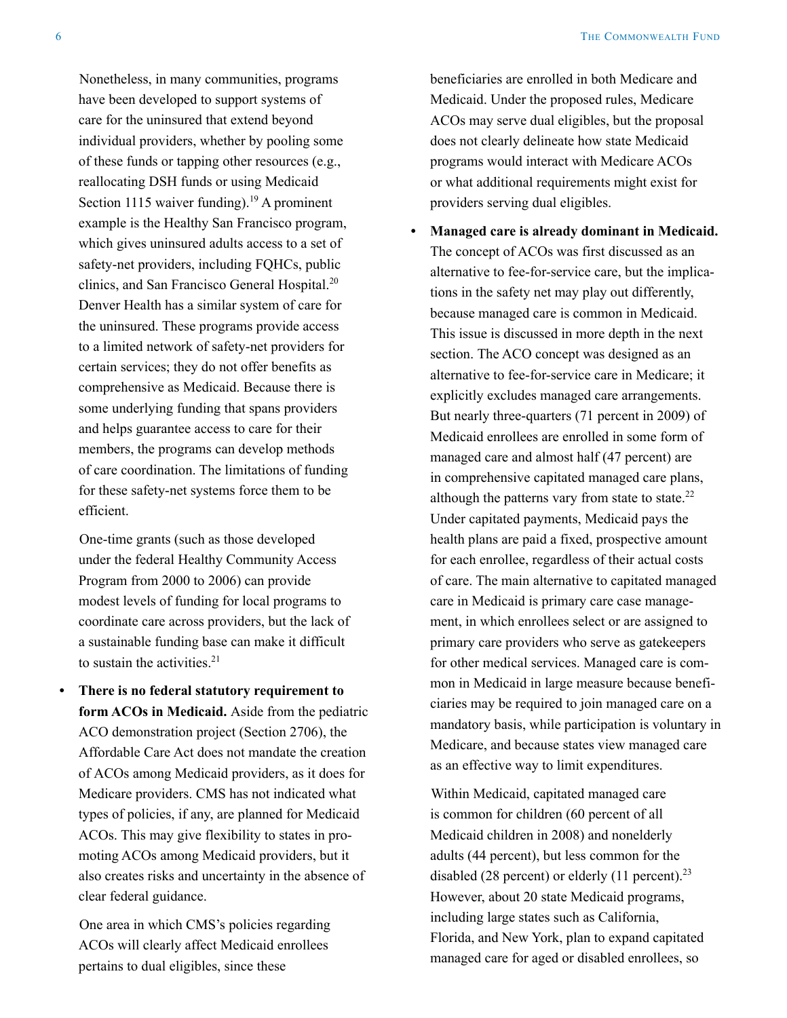Nonetheless, in many communities, programs have been developed to support systems of care for the uninsured that extend beyond individual providers, whether by pooling some of these funds or tapping other resources (e.g., reallocating DSH funds or using Medicaid Section 1115 waiver funding).<sup>19</sup> A prominent example is the Healthy San Francisco program, which gives uninsured adults access to a set of safety-net providers, including FQHCs, public clinics, and San Francisco General Hospital.20 Denver Health has a similar system of care for the uninsured. These programs provide access to a limited network of safety-net providers for certain services; they do not offer benefits as comprehensive as Medicaid. Because there is some underlying funding that spans providers and helps guarantee access to care for their members, the programs can develop methods of care coordination. The limitations of funding for these safety-net systems force them to be efficient.

One-time grants (such as those developed under the federal Healthy Community Access Program from 2000 to 2006) can provide modest levels of funding for local programs to coordinate care across providers, but the lack of a sustainable funding base can make it difficult to sustain the activities. $21$ 

**• There is no federal statutory requirement to form ACOs in Medicaid.** Aside from the pediatric ACO demonstration project (Section 2706), the Affordable Care Act does not mandate the creation of ACOs among Medicaid providers, as it does for Medicare providers. CMS has not indicated what types of policies, if any, are planned for Medicaid ACOs. This may give flexibility to states in promoting ACOs among Medicaid providers, but it also creates risks and uncertainty in the absence of clear federal guidance.

One area in which CMS's policies regarding ACOs will clearly affect Medicaid enrollees pertains to dual eligibles, since these

beneficiaries are enrolled in both Medicare and Medicaid. Under the proposed rules, Medicare ACOs may serve dual eligibles, but the proposal does not clearly delineate how state Medicaid programs would interact with Medicare ACOs or what additional requirements might exist for providers serving dual eligibles.

**• Managed care is already dominant in Medicaid.** The concept of ACOs was first discussed as an alternative to fee-for-service care, but the implications in the safety net may play out differently, because managed care is common in Medicaid. This issue is discussed in more depth in the next section. The ACO concept was designed as an alternative to fee-for-service care in Medicare; it explicitly excludes managed care arrangements. But nearly three-quarters (71 percent in 2009) of Medicaid enrollees are enrolled in some form of managed care and almost half (47 percent) are in comprehensive capitated managed care plans, although the patterns vary from state to state. $^{22}$ Under capitated payments, Medicaid pays the health plans are paid a fixed, prospective amount for each enrollee, regardless of their actual costs of care. The main alternative to capitated managed care in Medicaid is primary care case management, in which enrollees select or are assigned to primary care providers who serve as gatekeepers for other medical services. Managed care is common in Medicaid in large measure because beneficiaries may be required to join managed care on a mandatory basis, while participation is voluntary in Medicare, and because states view managed care as an effective way to limit expenditures.

Within Medicaid, capitated managed care is common for children (60 percent of all Medicaid children in 2008) and nonelderly adults (44 percent), but less common for the disabled (28 percent) or elderly (11 percent).<sup>23</sup> However, about 20 state Medicaid programs, including large states such as California, Florida, and New York, plan to expand capitated managed care for aged or disabled enrollees, so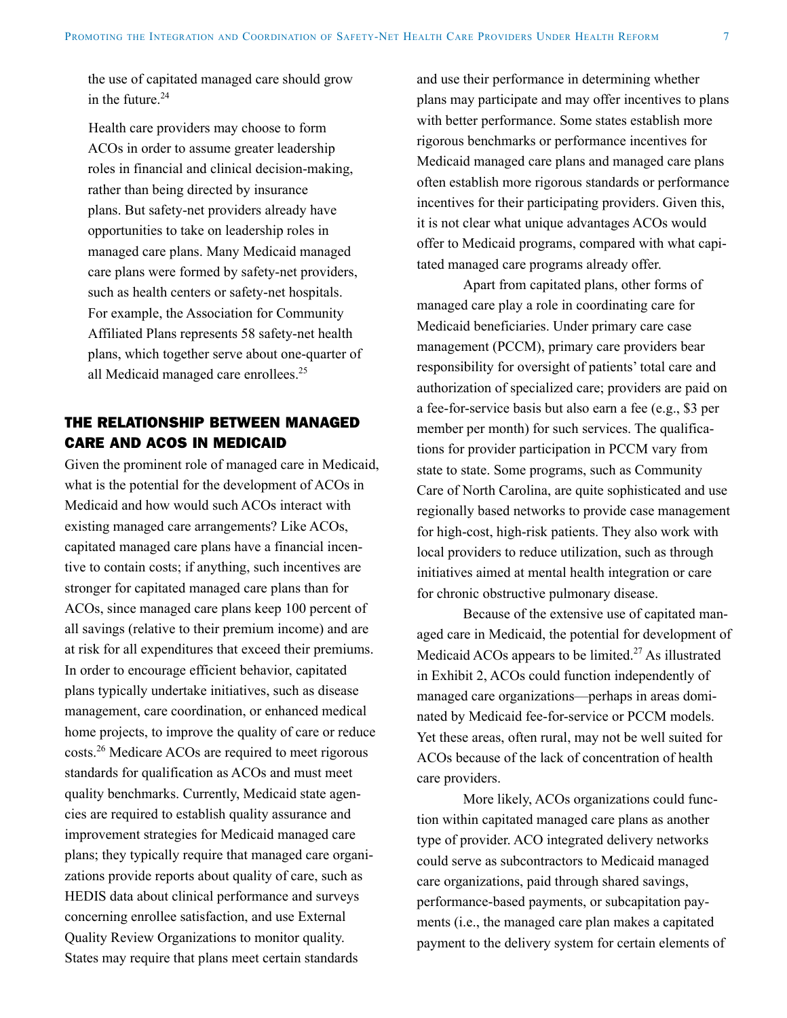the use of capitated managed care should grow in the future  $24$ 

Health care providers may choose to form ACOs in order to assume greater leadership roles in financial and clinical decision-making, rather than being directed by insurance plans. But safety-net providers already have opportunities to take on leadership roles in managed care plans. Many Medicaid managed care plans were formed by safety-net providers, such as health centers or safety-net hospitals. For example, the Association for Community Affiliated Plans represents 58 safety-net health plans, which together serve about one-quarter of all Medicaid managed care enrollees.<sup>25</sup>

### THE RELATIONSHIP BETWEEN MANAGED CARE AND ACOS IN MEDICAID

Given the prominent role of managed care in Medicaid, what is the potential for the development of ACOs in Medicaid and how would such ACOs interact with existing managed care arrangements? Like ACOs, capitated managed care plans have a financial incentive to contain costs; if anything, such incentives are stronger for capitated managed care plans than for ACOs, since managed care plans keep 100 percent of all savings (relative to their premium income) and are at risk for all expenditures that exceed their premiums. In order to encourage efficient behavior, capitated plans typically undertake initiatives, such as disease management, care coordination, or enhanced medical home projects, to improve the quality of care or reduce costs.26 Medicare ACOs are required to meet rigorous standards for qualification as ACOs and must meet quality benchmarks. Currently, Medicaid state agencies are required to establish quality assurance and improvement strategies for Medicaid managed care plans; they typically require that managed care organizations provide reports about quality of care, such as HEDIS data about clinical performance and surveys concerning enrollee satisfaction, and use External Quality Review Organizations to monitor quality. States may require that plans meet certain standards

and use their performance in determining whether plans may participate and may offer incentives to plans with better performance. Some states establish more rigorous benchmarks or performance incentives for Medicaid managed care plans and managed care plans often establish more rigorous standards or performance incentives for their participating providers. Given this, it is not clear what unique advantages ACOs would offer to Medicaid programs, compared with what capitated managed care programs already offer.

Apart from capitated plans, other forms of managed care play a role in coordinating care for Medicaid beneficiaries. Under primary care case management (PCCM), primary care providers bear responsibility for oversight of patients' total care and authorization of specialized care; providers are paid on a fee-for-service basis but also earn a fee (e.g., \$3 per member per month) for such services. The qualifications for provider participation in PCCM vary from state to state. Some programs, such as Community Care of North Carolina, are quite sophisticated and use regionally based networks to provide case management for high-cost, high-risk patients. They also work with local providers to reduce utilization, such as through initiatives aimed at mental health integration or care for chronic obstructive pulmonary disease.

Because of the extensive use of capitated managed care in Medicaid, the potential for development of Medicaid ACOs appears to be limited.<sup>27</sup> As illustrated in Exhibit 2, ACOs could function independently of managed care organizations—perhaps in areas dominated by Medicaid fee-for-service or PCCM models. Yet these areas, often rural, may not be well suited for ACOs because of the lack of concentration of health care providers.

More likely, ACOs organizations could function within capitated managed care plans as another type of provider. ACO integrated delivery networks could serve as subcontractors to Medicaid managed care organizations, paid through shared savings, performance-based payments, or subcapitation payments (i.e., the managed care plan makes a capitated payment to the delivery system for certain elements of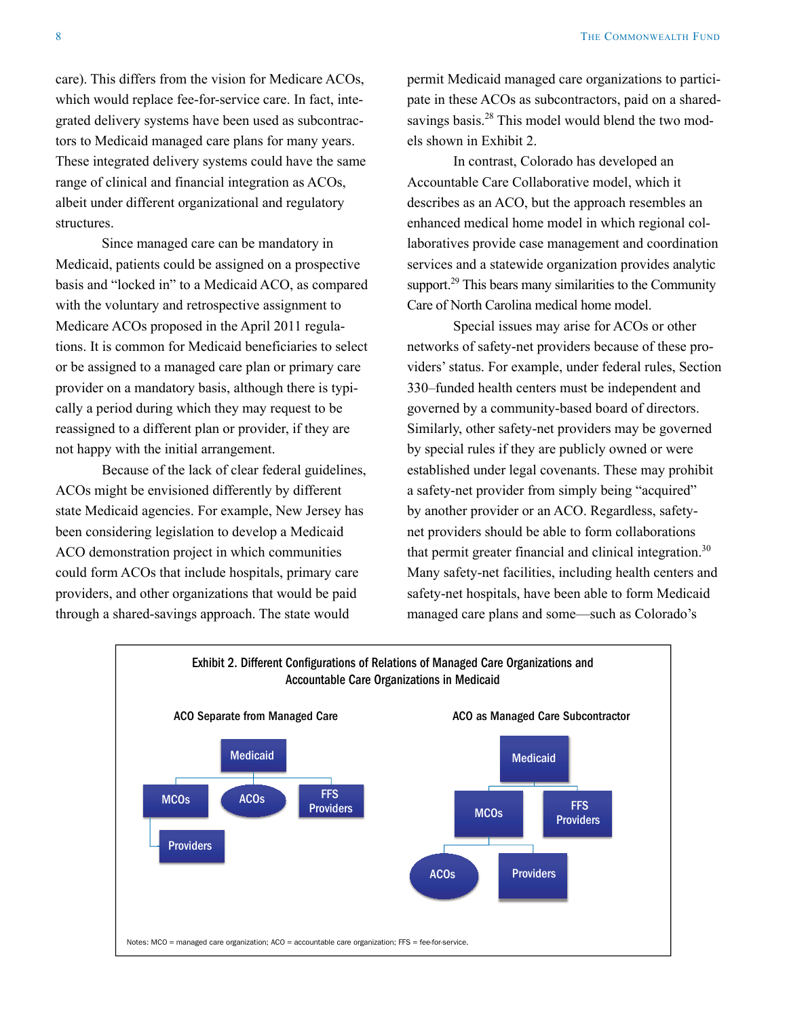care). This differs from the vision for Medicare ACOs, which would replace fee-for-service care. In fact, integrated delivery systems have been used as subcontractors to Medicaid managed care plans for many years. These integrated delivery systems could have the same range of clinical and financial integration as ACOs, albeit under different organizational and regulatory structures.

Since managed care can be mandatory in Medicaid, patients could be assigned on a prospective basis and "locked in" to a Medicaid ACO, as compared with the voluntary and retrospective assignment to Medicare ACOs proposed in the April 2011 regulations. It is common for Medicaid beneficiaries to select or be assigned to a managed care plan or primary care provider on a mandatory basis, although there is typically a period during which they may request to be reassigned to a different plan or provider, if they are not happy with the initial arrangement.

Because of the lack of clear federal guidelines, ACOs might be envisioned differently by different state Medicaid agencies. For example, New Jersey has been considering legislation to develop a Medicaid ACO demonstration project in which communities could form ACOs that include hospitals, primary care providers, and other organizations that would be paid through a shared-savings approach. The state would

permit Medicaid managed care organizations to participate in these ACOs as subcontractors, paid on a sharedsavings basis.<sup>28</sup> This model would blend the two models shown in Exhibit 2.

In contrast, Colorado has developed an Accountable Care Collaborative model, which it describes as an ACO, but the approach resembles an enhanced medical home model in which regional collaboratives provide case management and coordination services and a statewide organization provides analytic support.<sup>29</sup> This bears many similarities to the Community Care of North Carolina medical home model.

Special issues may arise for ACOs or other networks of safety-net providers because of these providers' status. For example, under federal rules, Section 330–funded health centers must be independent and governed by a community-based board of directors. Similarly, other safety-net providers may be governed by special rules if they are publicly owned or were established under legal covenants. These may prohibit a safety-net provider from simply being "acquired" by another provider or an ACO. Regardless, safetynet providers should be able to form collaborations that permit greater financial and clinical integration.<sup>30</sup> Many safety-net facilities, including health centers and safety-net hospitals, have been able to form Medicaid managed care plans and some—such as Colorado's

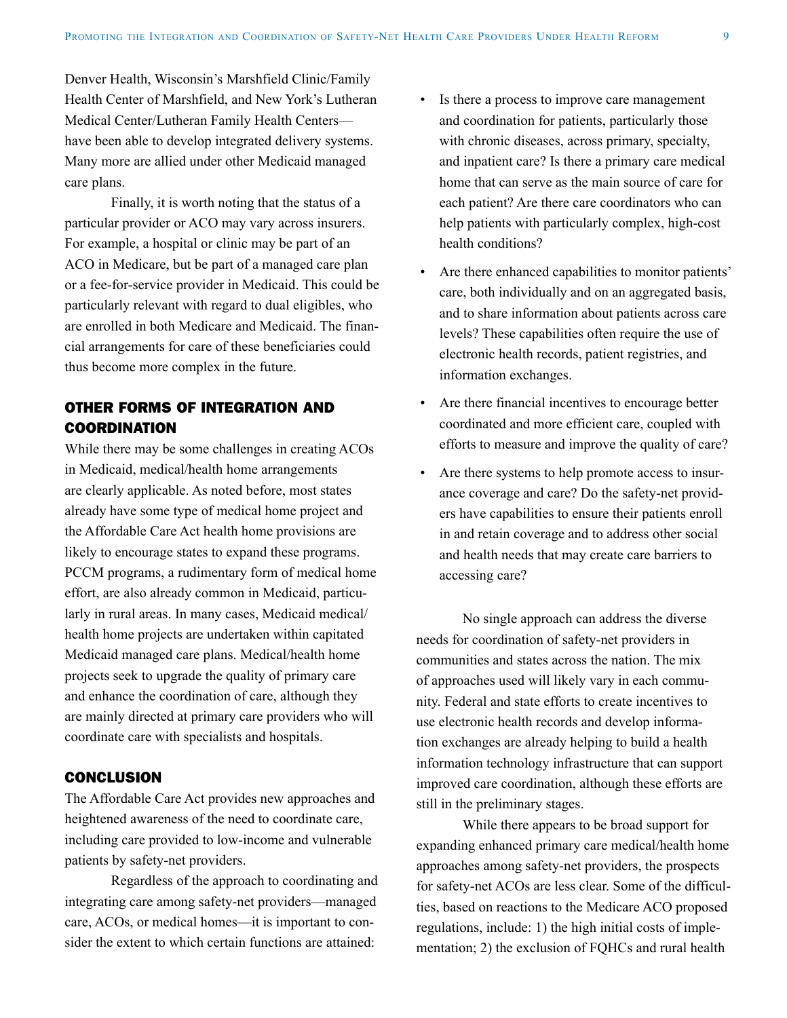Denver Health, Wisconsin's Marshfield Clinic/Family Health Center of Marshfield, and New York's Lutheran Medical Center/Lutheran Family Health Centers have been able to develop integrated delivery systems. Many more are allied under other Medicaid managed care plans.

Finally, it is worth noting that the status of a particular provider or ACO may vary across insurers. For example, a hospital or clinic may be part of an ACO in Medicare, but be part of a managed care plan or a fee-for-service provider in Medicaid. This could be particularly relevant with regard to dual eligibles, who are enrolled in both Medicare and Medicaid. The financial arrangements for care of these beneficiaries could thus become more complex in the future.

## OTHER FORMS OF INTEGRATION AND COORDINATION

While there may be some challenges in creating ACOs in Medicaid, medical/health home arrangements are clearly applicable. As noted before, most states already have some type of medical home project and the Affordable Care Act health home provisions are likely to encourage states to expand these programs. PCCM programs, a rudimentary form of medical home effort, are also already common in Medicaid, particularly in rural areas. In many cases, Medicaid medical/ health home projects are undertaken within capitated Medicaid managed care plans. Medical/health home projects seek to upgrade the quality of primary care and enhance the coordination of care, although they are mainly directed at primary care providers who will coordinate care with specialists and hospitals.

#### **CONCLUSION**

The Affordable Care Act provides new approaches and heightened awareness of the need to coordinate care, including care provided to low-income and vulnerable patients by safety-net providers.

Regardless of the approach to coordinating and integrating care among safety-net providers—managed care, ACOs, or medical homes—it is important to consider the extent to which certain functions are attained:

- • Is there a process to improve care management and coordination for patients, particularly those with chronic diseases, across primary, specialty, and inpatient care? Is there a primary care medical home that can serve as the main source of care for each patient? Are there care coordinators who can help patients with particularly complex, high-cost health conditions?
- Are there enhanced capabilities to monitor patients' care, both individually and on an aggregated basis, and to share information about patients across care levels? These capabilities often require the use of electronic health records, patient registries, and information exchanges.
- Are there financial incentives to encourage better coordinated and more efficient care, coupled with efforts to measure and improve the quality of care?
- Are there systems to help promote access to insurance coverage and care? Do the safety-net providers have capabilities to ensure their patients enroll in and retain coverage and to address other social and health needs that may create care barriers to accessing care?

No single approach can address the diverse needs for coordination of safety-net providers in communities and states across the nation. The mix of approaches used will likely vary in each community. Federal and state efforts to create incentives to use electronic health records and develop information exchanges are already helping to build a health information technology infrastructure that can support improved care coordination, although these efforts are still in the preliminary stages.

While there appears to be broad support for expanding enhanced primary care medical/health home approaches among safety-net providers, the prospects for safety-net ACOs are less clear. Some of the difficulties, based on reactions to the Medicare ACO proposed regulations, include: 1) the high initial costs of implementation; 2) the exclusion of FQHCs and rural health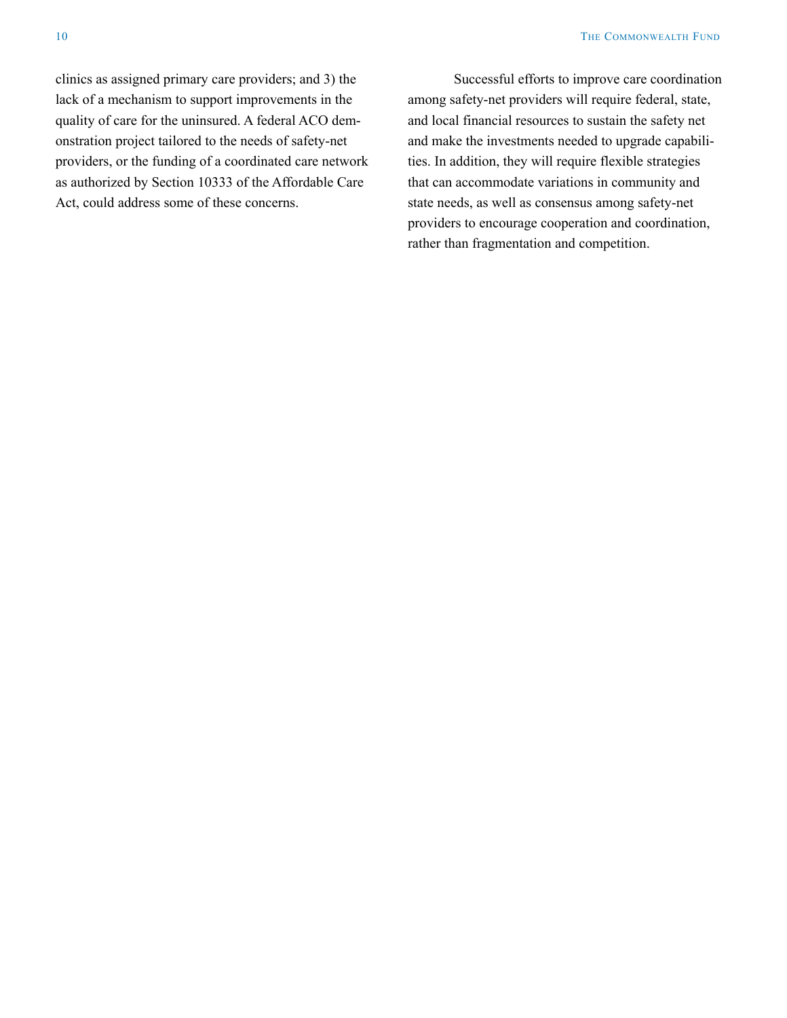clinics as assigned primary care providers; and 3) the lack of a mechanism to support improvements in the quality of care for the uninsured. A federal ACO demonstration project tailored to the needs of safety-net providers, or the funding of a coordinated care network as authorized by Section 10333 of the Affordable Care Act, could address some of these concerns.

Successful efforts to improve care coordination among safety-net providers will require federal, state, and local financial resources to sustain the safety net and make the investments needed to upgrade capabilities. In addition, they will require flexible strategies that can accommodate variations in community and state needs, as well as consensus among safety-net providers to encourage cooperation and coordination, rather than fragmentation and competition.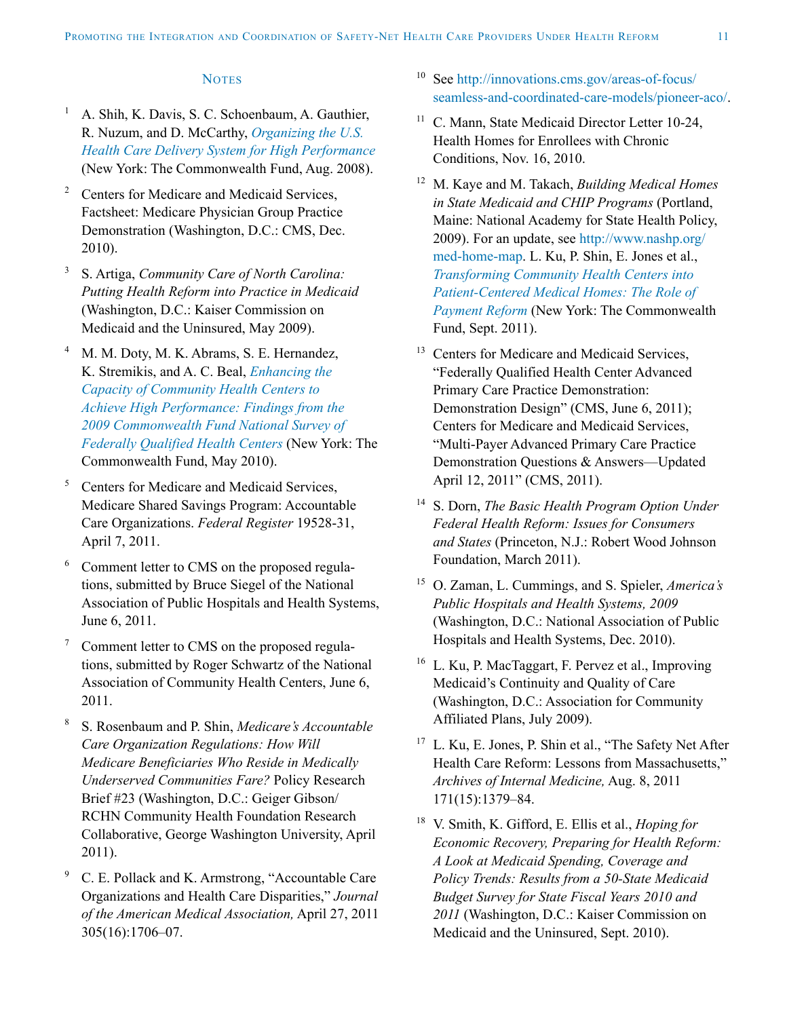#### **NOTES**

- <sup>1</sup> A. Shih, K. Davis, S. C. Schoenbaum, A. Gauthier, R. Nuzum, and D. McCarthy, *[Organizing the U.S.](http://www.commonwealthfund.org/Publications/Fund-Reports/2008/Aug/Organizing-the-U-S--Health-Care-Delivery-System-for-High-Performance.aspx)  [Health Care Delivery System for High Performance](http://www.commonwealthfund.org/Publications/Fund-Reports/2008/Aug/Organizing-the-U-S--Health-Care-Delivery-System-for-High-Performance.aspx)* (New York: The Commonwealth Fund, Aug. 2008).
- <sup>2</sup> Centers for Medicare and Medicaid Services. Factsheet: Medicare Physician Group Practice Demonstration (Washington, D.C.: CMS, Dec. 2010).
- <sup>3</sup> S. Artiga, *Community Care of North Carolina: Putting Health Reform into Practice in Medicaid* (Washington, D.C.: Kaiser Commission on Medicaid and the Uninsured, May 2009).
- <sup>4</sup> M. M. Doty, M. K. Abrams, S. E. Hernandez, K. Stremikis, and A. C. Beal, *[Enhancing the](http://www.commonwealthfund.org/Publications/Fund-Reports/2010/May/Enhancing-the-Capacity-of-Community-Health-Centers-to-Achieve-High-Performance.aspx)  [Capacity of Community Health Centers to](http://www.commonwealthfund.org/Publications/Fund-Reports/2010/May/Enhancing-the-Capacity-of-Community-Health-Centers-to-Achieve-High-Performance.aspx)  [Achieve High Performance: Findings from the](http://www.commonwealthfund.org/Publications/Fund-Reports/2010/May/Enhancing-the-Capacity-of-Community-Health-Centers-to-Achieve-High-Performance.aspx)  [2009 Commonwealth Fund National Survey of](http://www.commonwealthfund.org/Publications/Fund-Reports/2010/May/Enhancing-the-Capacity-of-Community-Health-Centers-to-Achieve-High-Performance.aspx)  [Federally Qualified Health Centers](http://www.commonwealthfund.org/Publications/Fund-Reports/2010/May/Enhancing-the-Capacity-of-Community-Health-Centers-to-Achieve-High-Performance.aspx)* (New York: The Commonwealth Fund, May 2010).
- <sup>5</sup> Centers for Medicare and Medicaid Services, Medicare Shared Savings Program: Accountable Care Organizations. *Federal Register* 19528-31, April 7, 2011.
- <sup>6</sup> Comment letter to CMS on the proposed regulations, submitted by Bruce Siegel of the National Association of Public Hospitals and Health Systems, June 6, 2011.
- <sup>7</sup> Comment letter to CMS on the proposed regulations, submitted by Roger Schwartz of the National Association of Community Health Centers, June 6, 2011.
- <sup>8</sup> S. Rosenbaum and P. Shin, *Medicare's Accountable Care Organization Regulations: How Will Medicare Beneficiaries Who Reside in Medically Underserved Communities Fare?* Policy Research Brief #23 (Washington, D.C.: Geiger Gibson/ RCHN Community Health Foundation Research Collaborative, George Washington University, April 2011).
- <sup>9</sup> C. E. Pollack and K. Armstrong, "Accountable Care Organizations and Health Care Disparities," *Journal of the American Medical Association,* April 27, 2011 305(16):1706–07.
- <sup>10</sup> See [http://innovations.cms.gov/areas-of-focus/](http://innovations.cms.gov/areas-of-focus/seamless-and-coordinated-care-models/pioneer-aco/) [seamless-and-coordinated-care-models/pioneer](http://innovations.cms.gov/areas-of-focus/seamless-and-coordinated-care-models/pioneer-aco/)-aco/.
- <sup>11</sup> C. Mann, State Medicaid Director Letter 10-24, Health Homes for Enrollees with Chronic Conditions, Nov. 16, 2010.
- <sup>12</sup> M. Kaye and M. Takach, *Building Medical Homes in State Medicaid and CHIP Programs* (Portland, Maine: National Academy for State Health Policy, 2009). For an update, see [http://www.nashp.org/](http://www.nashp.org/med-home-map) [med-home-map.](http://www.nashp.org/med-home-map) L. Ku, P. Shin, E. Jones et al., *[Transforming Community Health Centers into](http://www.commonwealthfund.org/Publications/Fund-Reports/2011/Sep/Transforming-Community-Health-Centers.aspx)  [Patient-Centered Medical Homes: The Role of](http://www.commonwealthfund.org/Publications/Fund-Reports/2011/Sep/Transforming-Community-Health-Centers.aspx)  [Payment Reform](http://www.commonwealthfund.org/Publications/Fund-Reports/2011/Sep/Transforming-Community-Health-Centers.aspx)* (New York: The Commonwealth Fund, Sept. 2011).
- <sup>13</sup> Centers for Medicare and Medicaid Services, "Federally Qualified Health Center Advanced Primary Care Practice Demonstration: Demonstration Design" (CMS, June 6, 2011); Centers for Medicare and Medicaid Services, "Multi-Payer Advanced Primary Care Practice Demonstration Questions & Answers—Updated April 12, 2011" (CMS, 2011).
- <sup>14</sup> S. Dorn, *The Basic Health Program Option Under Federal Health Reform: Issues for Consumers and States* (Princeton, N.J.: Robert Wood Johnson Foundation, March 2011).
- <sup>15</sup> O. Zaman, L. Cummings, and S. Spieler, *America's Public Hospitals and Health Systems, 2009*  (Washington, D.C.: National Association of Public Hospitals and Health Systems, Dec. 2010).
- <sup>16</sup> L. Ku, P. MacTaggart, F. Pervez et al., Improving Medicaid's Continuity and Quality of Care (Washington, D.C.: Association for Community Affiliated Plans, July 2009).
- <sup>17</sup> L. Ku, E. Jones, P. Shin et al., "The Safety Net After Health Care Reform: Lessons from Massachusetts," *Archives of Internal Medicine,* Aug. 8, 2011 171(15):1379–84.
- <sup>18</sup> V. Smith, K. Gifford, E. Ellis et al., *Hoping for Economic Recovery, Preparing for Health Reform: A Look at Medicaid Spending, Coverage and Policy Trends: Results from a 50-State Medicaid Budget Survey for State Fiscal Years 2010 and 2011* (Washington, D.C.: Kaiser Commission on Medicaid and the Uninsured, Sept. 2010).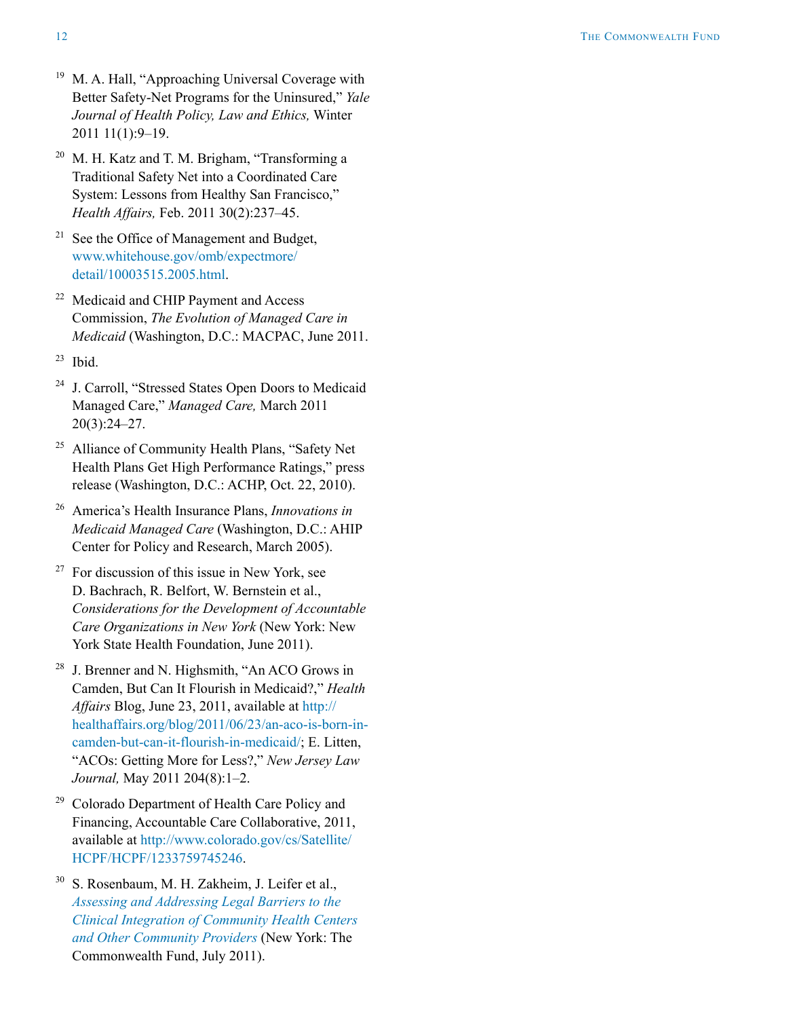- <sup>19</sup> M. A. Hall, "Approaching Universal Coverage with Better Safety-Net Programs for the Uninsured," *Yale Journal of Health Policy, Law and Ethics,* Winter 2011 11(1):9–19.
- <sup>20</sup> M. H. Katz and T. M. Brigham, "Transforming a Traditional Safety Net into a Coordinated Care System: Lessons from Healthy San Francisco," *Health Affairs,* Feb. 2011 30(2):237–45.
- <sup>21</sup> See the Office of Management and Budget, [www.whitehouse.gov/omb/expectmore/](http://www.whitehouse.gov/omb/expectmore/detail/10003515.2005.html) [detail/10003515.2005.html](http://www.whitehouse.gov/omb/expectmore/detail/10003515.2005.html).
- <sup>22</sup> Medicaid and CHIP Payment and Access Commission, *The Evolution of Managed Care in Medicaid* (Washington, D.C.: MACPAC, June 2011.
- $23$  Ibid.
- <sup>24</sup> J. Carroll, "Stressed States Open Doors to Medicaid Managed Care," *Managed Care,* March 2011 20(3):24–27.
- <sup>25</sup> Alliance of Community Health Plans, "Safety Net Health Plans Get High Performance Ratings," press release (Washington, D.C.: ACHP, Oct. 22, 2010).
- <sup>26</sup> America's Health Insurance Plans, *Innovations in Medicaid Managed Care* (Washington, D.C.: AHIP Center for Policy and Research, March 2005).
- $27$  For discussion of this issue in New York, see D. Bachrach, R. Belfort, W. Bernstein et al., *Considerations for the Development of Accountable Care Organizations in New York* (New York: New York State Health Foundation, June 2011).
- <sup>28</sup> J. Brenner and N. Highsmith, "An ACO Grows in Camden, But Can It Flourish in Medicaid?," *Health Affairs* Blog, June 23, 2011, available at [http://](http://healthaffairs.org/blog/2011/06/23/an-aco-is-born-in-camden-but-can-it-flourish-in-medicaid/) [healthaffairs.org/blog/2011/06/23/an-aco-is-born-in](http://healthaffairs.org/blog/2011/06/23/an-aco-is-born-in-camden-but-can-it-flourish-in-medicaid/)[camden-but-can-it-flourish-in-medicaid/;](http://healthaffairs.org/blog/2011/06/23/an-aco-is-born-in-camden-but-can-it-flourish-in-medicaid/) E. Litten, "ACOs: Getting More for Less?," *New Jersey Law Journal,* May 2011 204(8):1–2.
- <sup>29</sup> Colorado Department of Health Care Policy and Financing, Accountable Care Collaborative, 2011, available at [http://www.colorado.gov/cs/Satellite/](http://www.colorado.gov/cs/Satellite/HCPF/HCPF/1233759745246) [HCPF/HCPF/1233759745246.](http://www.colorado.gov/cs/Satellite/HCPF/HCPF/1233759745246)
- <sup>30</sup> S. Rosenbaum, M. H. Zakheim, J. Leifer et al., *[Assessing and Addressing Legal Barriers to the](http://www.commonwealthfund.org/Publications/Fund-Reports/2011/Jul/Clinical-Integration.aspx)  [Clinical Integration of Community Health Centers](http://www.commonwealthfund.org/Publications/Fund-Reports/2011/Jul/Clinical-Integration.aspx)  [and Other Community Providers](http://www.commonwealthfund.org/Publications/Fund-Reports/2011/Jul/Clinical-Integration.aspx)* (New York: The Commonwealth Fund, July 2011).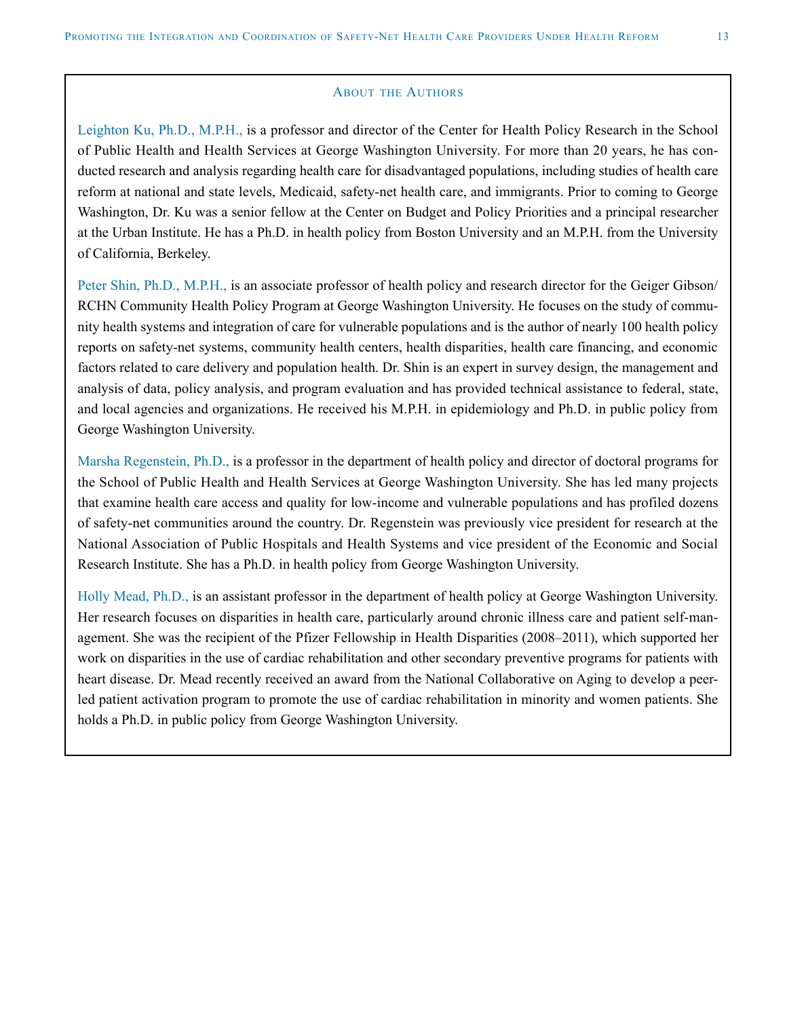#### **ABOUT THE AUTHORS**

Leighton Ku, Ph.D., M.P.H., is a professor and director of the Center for Health Policy Research in the School of Public Health and Health Services at George Washington University. For more than 20 years, he has conducted research and analysis regarding health care for disadvantaged populations, including studies of health care reform at national and state levels, Medicaid, safety-net health care, and immigrants. Prior to coming to George Washington, Dr. Ku was a senior fellow at the Center on Budget and Policy Priorities and a principal researcher at the Urban Institute. He has a Ph.D. in health policy from Boston University and an M.P.H. from the University of California, Berkeley.

Peter Shin, Ph.D., M.P.H., is an associate professor of health policy and research director for the Geiger Gibson/ RCHN Community Health Policy Program at George Washington University. He focuses on the study of community health systems and integration of care for vulnerable populations and is the author of nearly 100 health policy reports on safety-net systems, community health centers, health disparities, health care financing, and economic factors related to care delivery and population health. Dr. Shin is an expert in survey design, the management and analysis of data, policy analysis, and program evaluation and has provided technical assistance to federal, state, and local agencies and organizations. He received his M.P.H. in epidemiology and Ph.D. in public policy from George Washington University.

Marsha Regenstein, Ph.D., is a professor in the department of health policy and director of doctoral programs for the School of Public Health and Health Services at George Washington University. She has led many projects that examine health care access and quality for low-income and vulnerable populations and has profiled dozens of safety-net communities around the country. Dr. Regenstein was previously vice president for research at the National Association of Public Hospitals and Health Systems and vice president of the Economic and Social Research Institute. She has a Ph.D. in health policy from George Washington University.

Holly Mead, Ph.D., is an assistant professor in the department of health policy at George Washington University. Her research focuses on disparities in health care, particularly around chronic illness care and patient self-management. She was the recipient of the Pfizer Fellowship in Health Disparities (2008–2011), which supported her work on disparities in the use of cardiac rehabilitation and other secondary preventive programs for patients with heart disease. Dr. Mead recently received an award from the National Collaborative on Aging to develop a peerled patient activation program to promote the use of cardiac rehabilitation in minority and women patients. She holds a Ph.D. in public policy from George Washington University.